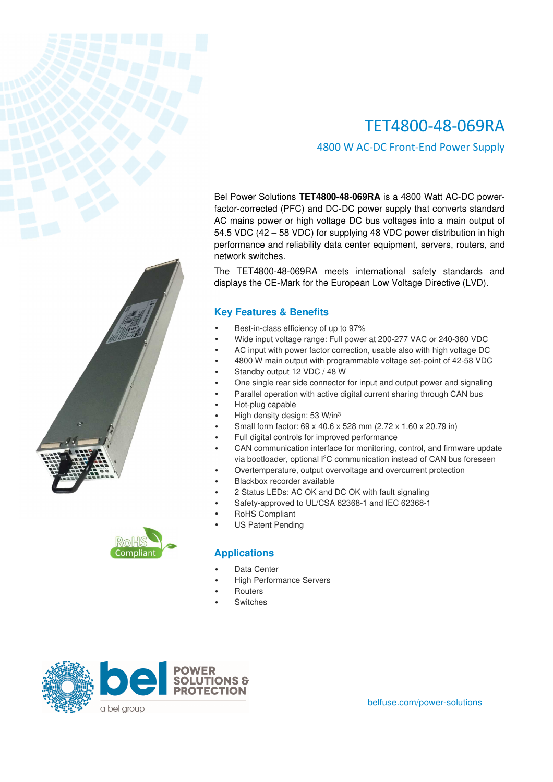4800 W AC-DC Front-End Power Supply

Bel Power Solutions **TET4800-48-069RA** is a 4800 Watt AC-DC powerfactor-corrected (PFC) and DC-DC power supply that converts standard AC mains power or high voltage DC bus voltages into a main output of 54.5 VDC (42 – 58 VDC) for supplying 48 VDC power distribution in high performance and reliability data center equipment, servers, routers, and network switches.

The TET4800-48-069RA meets international safety standards and displays the CE-Mark for the European Low Voltage Directive (LVD).

## **Key Features & Benefits**

- Best-in-class efficiency of up to 97%
- Wide input voltage range: Full power at 200-277 VAC or 240-380 VDC
- AC input with power factor correction, usable also with high voltage DC
- 4800 W main output with programmable voltage set-point of 42-58 VDC
- Standby output 12 VDC / 48 W
- One single rear side connector for input and output power and signaling
- Parallel operation with active digital current sharing through CAN bus
- Hot-plug capable
- High density design: 53 W/in<sup>3</sup>
- Small form factor: 69 x 40.6 x 528 mm (2.72 x 1.60 x 20.79 in)
- Full digital controls for improved performance
- CAN communication interface for monitoring, control, and firmware update via bootloader, optional I<sup>2</sup>C communication instead of CAN bus foreseen
- Overtemperature, output overvoltage and overcurrent protection
- Blackbox recorder available
- 2 Status LEDs: AC OK and DC OK with fault signaling
- Safety-approved to UL/CSA 62368-1 and IEC 62368-1
- RoHS Compliant
- US Patent Pending

## **Applications**

- Data Center
- High Performance Servers
- **Routers**
- **Switches**



belfuse.com/power-solutions

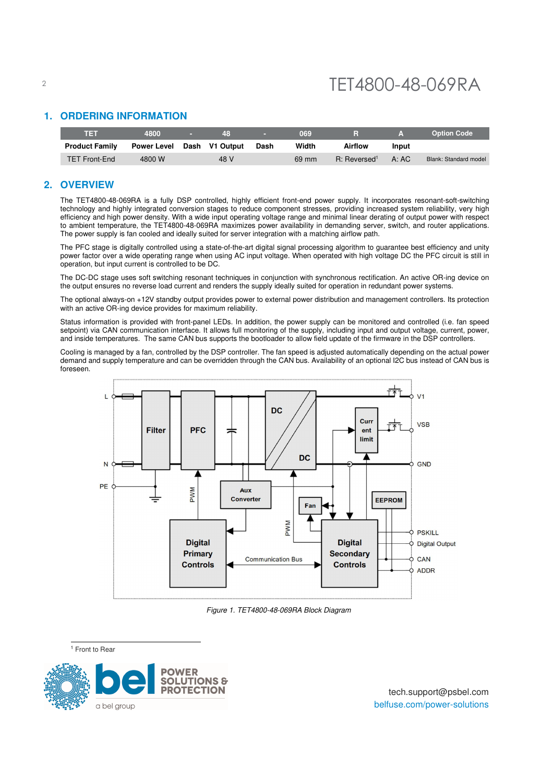## <sup>2</sup> TET4800-48-069RA

## **1. ORDERING INFORMATION**

| TET                   | 4800               | 48             |      | 069   |                          | 7AV   | <b>Option Code</b>    |
|-----------------------|--------------------|----------------|------|-------|--------------------------|-------|-----------------------|
| <b>Product Family</b> | <b>Power Level</b> | Dash V1 Output | Dash | Width | Airflow                  | Input |                       |
| <b>TET Front-End</b>  | 4800 W             | 48 V           |      | 69 mm | R: Reversed <sup>1</sup> | A: AC | Blank: Standard model |

#### **2. OVERVIEW**

The TET4800-48-069RA is a fully DSP controlled, highly efficient front-end power supply. It incorporates resonant-soft-switching technology and highly integrated conversion stages to reduce component stresses, providing increased system reliability, very high efficiency and high power density. With a wide input operating voltage range and minimal linear derating of output power with respect to ambient temperature, the TET4800-48-069RA maximizes power availability in demanding server, switch, and router applications. The power supply is fan cooled and ideally suited for server integration with a matching airflow path.

The PFC stage is digitally controlled using a state-of-the-art digital signal processing algorithm to guarantee best efficiency and unity power factor over a wide operating range when using AC input voltage. When operated with high voltage DC the PFC circuit is still in operation, but input current is controlled to be DC.

The DC-DC stage uses soft switching resonant techniques in conjunction with synchronous rectification. An active OR-ing device on the output ensures no reverse load current and renders the supply ideally suited for operation in redundant power systems.

The optional always-on +12V standby output provides power to external power distribution and management controllers. Its protection with an active OR-ing device provides for maximum reliability.

Status information is provided with front-panel LEDs. In addition, the power supply can be monitored and controlled (i.e. fan speed setpoint) via CAN communication interface. It allows full monitoring of the supply, including input and output voltage, current, power, and inside temperatures. The same CAN bus supports the bootloader to allow field update of the firmware in the DSP controllers.

Cooling is managed by a fan, controlled by the DSP controller. The fan speed is adjusted automatically depending on the actual power demand and supply temperature and can be overridden through the CAN bus. Availability of an optional I2C bus instead of CAN bus is foreseen.



Figure 1. TET4800-48-069RA Block Diagram

<sup>1</sup> Front to Rear

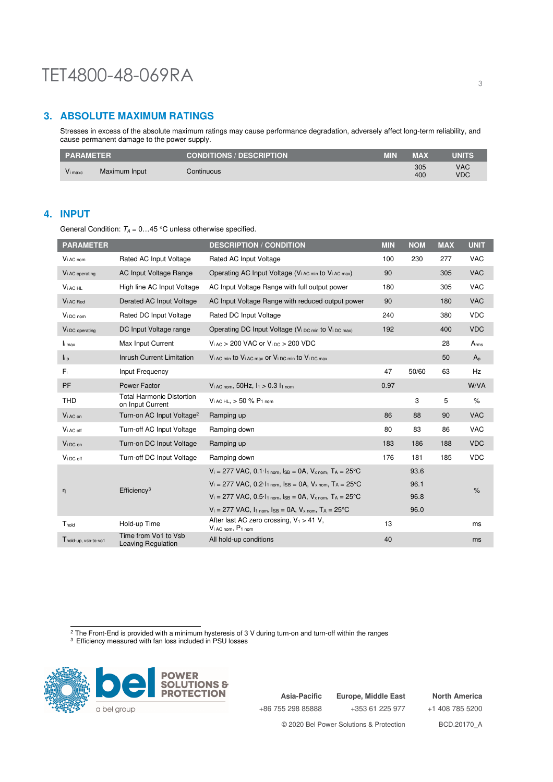## **3. ABSOLUTE MAXIMUM RATINGS**

Stresses in excess of the absolute maximum ratings may cause performance degradation, adversely affect long-term reliability, and cause permanent damage to the power supply.

| <b>PARAMETER</b> |               | <b>CONDITIONS / DESCRIPTION '</b> | MIN | <b>MAX</b> | <b>UNITS</b>             |
|------------------|---------------|-----------------------------------|-----|------------|--------------------------|
| $Vi$ maxc        | Maximum Input | Continuous                        |     | 305<br>400 | <b>VAC</b><br><b>VDC</b> |

## **4. INPUT**

General Condition:  $T_A = 0...45$  °C unless otherwise specified.

| <b>PARAMETER</b>            |                                                      | <b>DESCRIPTION / CONDITION</b>                                                                                       | <b>MIN</b> | <b>NOM</b> | <b>MAX</b> | <b>UNIT</b> |
|-----------------------------|------------------------------------------------------|----------------------------------------------------------------------------------------------------------------------|------------|------------|------------|-------------|
| V <sub>i</sub> AC nom       | Rated AC Input Voltage                               | Rated AC Input Voltage                                                                                               | 100        | 230        | 277        | <b>VAC</b>  |
| V <sub>i</sub> AC operating | AC Input Voltage Range                               | Operating AC Input Voltage (V <sub>i AC min</sub> to V <sub>i AC max</sub> )                                         | 90         |            | 305        | <b>VAC</b>  |
| $Vi$ AC HL                  | High line AC Input Voltage                           | AC Input Voltage Range with full output power                                                                        | 180        |            | 305        | <b>VAC</b>  |
| V <sub>i</sub> AC Red       | Derated AC Input Voltage                             | AC Input Voltage Range with reduced output power                                                                     | 90         |            | 180        | <b>VAC</b>  |
| V <sub>i</sub> DC nom       | Rated DC Input Voltage                               | Rated DC Input Voltage                                                                                               | 240        |            | 380        | <b>VDC</b>  |
| V <sub>i</sub> DC operating | DC Input Voltage range                               | Operating DC Input Voltage (V <sub>i DC min</sub> to V <sub>i DC max)</sub>                                          | 192        |            | 400        | <b>VDC</b>  |
| $I_{i \max}$                | Max Input Current                                    | $V_{i,AC}$ > 200 VAC or $V_{i,DC}$ > 200 VDC                                                                         |            |            | 28         | $A_{rms}$   |
| $\mathsf{I}_{i,p}$          | Inrush Current Limitation                            | Vi AC min to Vi AC max or Vi DC min to Vi DC max                                                                     |            |            | 50         | $A_{p}$     |
| $F_i$                       | Input Frequency                                      |                                                                                                                      | 47         | 50/60      | 63         | Hz          |
| <b>PF</b>                   | Power Factor                                         | $V_{i,AC,nom}$ , 50Hz, $I_1 > 0.3 I_{1,nom}$                                                                         | 0.97       |            |            | W/VA        |
| <b>THD</b>                  | <b>Total Harmonic Distortion</b><br>on Input Current | $V_{i,AC,HL}$ , > 50 % $P_{1,nom}$                                                                                   |            | 3          | 5          | $\%$        |
| V <sub>i</sub> AC on        | Turn-on AC Input Voltage <sup>2</sup>                | Ramping up                                                                                                           | 86         | 88         | 90         | <b>VAC</b>  |
| $V_i$ AC off                | Turn-off AC Input Voltage                            | Ramping down                                                                                                         | 80         | 83         | 86         | <b>VAC</b>  |
| $V_i$ <sub>DC</sub> on      | Turn-on DC Input Voltage                             | Ramping up                                                                                                           | 183        | 186        | 188        | <b>VDC</b>  |
| V <sub>i</sub> DC off       | Turn-off DC Input Voltage                            | Ramping down                                                                                                         | 176        | 181        | 185        | <b>VDC</b>  |
|                             |                                                      | $V_i = 277 \text{ VAC}, 0.1 \cdot I_{1\text{ nom}}, I_{SB} = 0A, V_{x\text{ nom}}, T_A = 25\text{°C}$                |            | 93.6       |            |             |
|                             | Efficiency <sup>3</sup>                              | $V_i = 277 \text{ VAC}, 0.2 \cdot I_{1 \text{ nom}}, \text{IsB} = 0 \text{A}, V_{x \text{ nom}}, T_A = 25 \text{°C}$ |            | 96.1       |            | $\%$        |
| η                           |                                                      | $V_i = 277 \text{ VAC}, 0.5 \cdot I_{1 \text{ nom}}, I_{SB} = 0 \text{A}, V_{x \text{ nom}}, T_A = 25 \text{°C}$     |            | 96.8       |            |             |
|                             |                                                      | $V_i = 277$ VAC, $I_1$ nom, $I_{SB} = 0A$ , $V_{x}$ nom, $T_A = 25$ °C                                               |            | 96.0       |            |             |
| Thold                       | Hold-up Time                                         | After last AC zero crossing, $V_1 > 41 V$ ,<br>Vi AC nom, P1 nom                                                     | 13         |            |            | ms          |
| Thold-up, vsb-to-vo1        | Time from Vo1 to Vsb<br>Leaving Regulation           | All hold-up conditions                                                                                               | 40         |            |            | ms          |

<sup>2</sup> The Front-End is provided with a minimum hysteresis of 3 V during turn-on and turn-off within the ranges<br><sup>3</sup> Efficiency measured with fan loss included in PSU losses



**Asia-Pacific** +86 755 298 85888 **Europe, Middle East** +353 61 225 977 **North America** +1 408 785 5200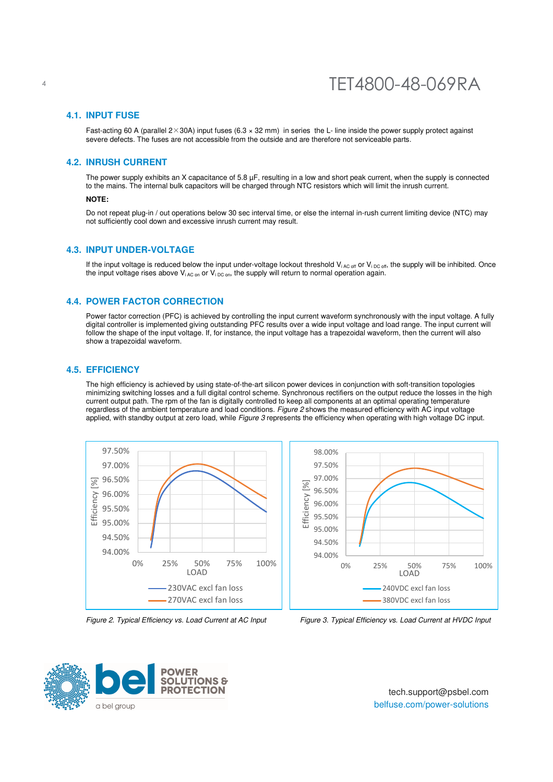#### **4.1. INPUT FUSE**

Fast-acting 60 A (parallel  $2 \times 30$ A) input fuses (6.3  $\times$  32 mm) in series the L- line inside the power supply protect against severe defects. The fuses are not accessible from the outside and are therefore not serviceable parts.

#### **4.2. INRUSH CURRENT**

The power supply exhibits an X capacitance of  $5.8 \mu F$ , resulting in a low and short peak current, when the supply is connected to the mains. The internal bulk capacitors will be charged through NTC resistors which will limit the inrush current.

#### **NOTE:**

Do not repeat plug-in / out operations below 30 sec interval time, or else the internal in-rush current limiting device (NTC) may not sufficiently cool down and excessive inrush current may result.

#### **4.3. INPUT UNDER-VOLTAGE**

If the input voltage is reduced below the input under-voltage lockout threshold  $V_{i AC \text{ off}}$  or  $V_{i DC \text{ off}}$ , the supply will be inhibited. Once the input voltage rises above  $V_{iAC \text{ on }} V_i_{DC \text{ on }}$ , the supply will return to normal operation again.

#### **4.4. POWER FACTOR CORRECTION**

Power factor correction (PFC) is achieved by controlling the input current waveform synchronously with the input voltage. A fully digital controller is implemented giving outstanding PFC results over a wide input voltage and load range. The input current will follow the shape of the input voltage. If, for instance, the input voltage has a trapezoidal waveform, then the current will also show a trapezoidal waveform.

#### **4.5. EFFICIENCY**

The high efficiency is achieved by using state-of-the-art silicon power devices in conjunction with soft-transition topologies minimizing switching losses and a full digital control scheme. Synchronous rectifiers on the output reduce the losses in the high current output path. The rpm of the fan is digitally controlled to keep all components at an optimal operating temperature regardless of the ambient temperature and load conditions. Figure 2 shows the measured efficiency with AC input voltage applied, with standby output at zero load, while Figure 3 represents the efficiency when operating with high voltage DC input.





Figure 2. Typical Efficiency vs. Load Current at AC Input Figure 3. Typical Efficiency vs. Load Current at HVDC Input



tech.support@psbel.com belfuse.com/power-solutions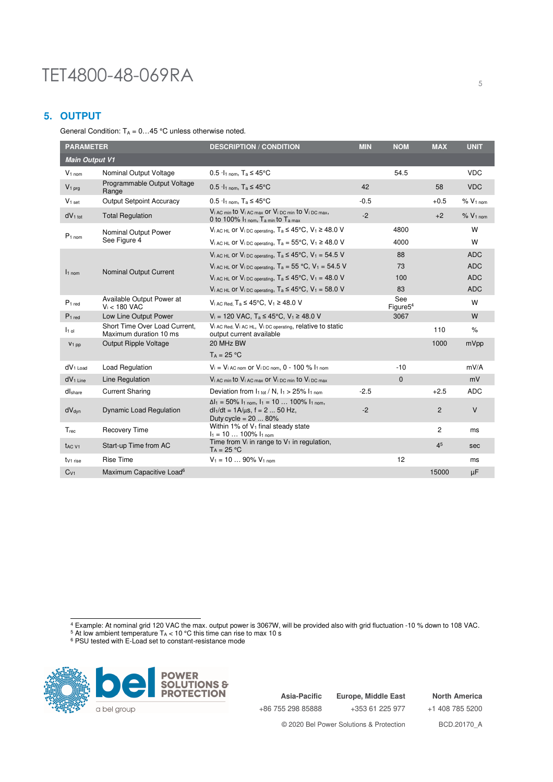## **5. OUTPUT**

General Condition:  $T_A = 0...45$  °C unless otherwise noted.

| <b>PARAMETER</b>               |                                                         | <b>DESCRIPTION / CONDITION</b>                                                                                                                | <b>MIN</b> | <b>NOM</b>                  | <b>MAX</b>     | <b>UNIT</b>             |
|--------------------------------|---------------------------------------------------------|-----------------------------------------------------------------------------------------------------------------------------------------------|------------|-----------------------------|----------------|-------------------------|
| <b>Main Output V1</b>          |                                                         |                                                                                                                                               |            |                             |                |                         |
| $V1$ nom                       | Nominal Output Voltage                                  | $0.5 \cdot I_{1\text{ nom}}$ , T <sub>a</sub> $\leq 45^{\circ}$ C                                                                             |            | 54.5                        |                | <b>VDC</b>              |
| $V_1$ prg                      | Programmable Output Voltage<br>Range                    | $0.5 \cdot 11 \text{ nom}$ . T <sub>a</sub> $\leq 45^{\circ}$ C                                                                               | 42         |                             | 58             | <b>VDC</b>              |
| $V1$ set                       | <b>Output Setpoint Accuracy</b>                         | $0.5 \cdot I_1$ nom, $T_a \leq 45^{\circ}$ C                                                                                                  | $-0.5$     |                             | $+0.5$         | %V <sub>1 nom</sub>     |
| dV <sub>1 tot</sub>            | <b>Total Regulation</b>                                 | $V_i$ AC min to $V_i$ AC max or $V_i$ DC min to $V_i$ DC max,<br>0 to 100% $I1$ <sub>nom</sub> , T <sub>a min</sub> to T <sub>a max</sub>     | $-2$       |                             | $+2$           | $\%$ V <sub>1</sub> nom |
| $P_1$ nom                      | Nominal Output Power                                    | $V_i$ AC HL Or $V_i$ DC operating, $T_a \leq 45^{\circ}$ C, $V_1 \geq 48.0$ V                                                                 |            | 4800                        |                | W                       |
|                                | See Figure 4                                            | $V_i$ AC HL OF $V_i$ DC operating, $T_a = 55^{\circ}$ C, $V_1 \ge 48.0$ V                                                                     |            | 4000                        |                | W                       |
|                                |                                                         | $V_{i \text{ AC HL}}$ or $V_{i \text{ DC operating}}$ , $T_a \leq 45^{\circ}$ C, $V_1 = 54.5$ V                                               |            | 88                          |                | <b>ADC</b>              |
|                                | Nominal Output Current                                  | $V_i$ AC HL OF $V_i$ DC operating, $T_a = 55$ °C, $V_1 = 54.5$ V                                                                              |            | 73                          |                | <b>ADC</b>              |
| $11$ nom                       |                                                         | Vi AC HL OF Vi DC operating, $T_a \leq 45^{\circ}$ C, V <sub>1</sub> = 48.0 V                                                                 |            | 100                         |                | <b>ADC</b>              |
|                                |                                                         | $V_i$ AC HL OF $V_i$ DC operating, $T_a \leq 45^{\circ}$ C, $V_1 = 58.0$ V                                                                    |            | 83                          |                | <b>ADC</b>              |
| P <sub>1 red</sub>             | Available Output Power at<br>$V_i < 180$ VAC            | $V_i$ AC Red. Ta ≤ 45°C, $V_1$ ≥ 48.0 V                                                                                                       |            | See<br>Figure <sub>54</sub> |                | W                       |
| P <sub>1 red</sub>             | Low Line Output Power                                   | $V_i$ = 120 VAC, T <sub>a</sub> ≤ 45°C, V <sub>1</sub> ≥ 48.0 V                                                                               |            | 3067                        |                | W                       |
| $11$ ol                        | Short Time Over Load Current.<br>Maximum duration 10 ms | $V_i$ AC Red, $V_i$ AC HL, $V_i$ DC operating, relative to static<br>output current available                                                 |            |                             | 110            | $\%$                    |
| V <sub>1</sub> pp              | <b>Output Ripple Voltage</b>                            | 20 MHz BW                                                                                                                                     |            |                             | 1000           | mVpp                    |
|                                |                                                         | $Ta = 25 °C$                                                                                                                                  |            |                             |                |                         |
| $dV1$ Load                     | <b>Load Regulation</b>                                  | $V_i = V_i$ AC nom Of $V_i$ DC nom, $0 - 100$ % $I_1$ nom                                                                                     |            | $-10$                       |                | mV/A                    |
| $dV_1$ Line                    | Line Regulation                                         | Vi AC min to Vi AC max or Vi DC min to Vi DC max                                                                                              |            | $\Omega$                    |                | mV                      |
| dlshare                        | <b>Current Sharing</b>                                  | Deviation from $I_{1 \text{ tot}}/N$ , $I_1 > 25\% I_{1 \text{ nom}}$                                                                         | $-2.5$     |                             | $+2.5$         | <b>ADC</b>              |
| $dV_{dyn}$                     | <b>Dynamic Load Regulation</b>                          | $\Delta l_1 = 50\%$ $l_{1\text{ nom}}$ , $l_1 = 10$ 100% $l_{1\text{ nom}}$ ,<br>$dl_1/dt = 1A/\mu s$ , f = 2  50 Hz,<br>Duty cycle = $2080%$ | $-2$       |                             | $\overline{2}$ | $\vee$                  |
| T <sub>rec</sub>               | <b>Recovery Time</b>                                    | Within 1% of $V_1$ final steady state<br>$I_1 = 10100\% I_{1}$ nom                                                                            |            |                             | $\overline{2}$ | ms                      |
| t <sub>AC</sub> v <sub>1</sub> | Start-up Time from AC                                   | Time from $V_i$ in range to $V_1$ in regulation,<br>$T_A = 25 °C$                                                                             |            |                             | 4 <sup>5</sup> | sec                     |
| tv <sub>1</sub> rise           | <b>Rise Time</b>                                        | $V_1 = 1090\% V_{1,nom}$                                                                                                                      |            | 12                          |                | ms                      |
| $C_{V1}$                       | Maximum Capacitive Load <sup>6</sup>                    |                                                                                                                                               |            |                             | 15000          | μF                      |

<sup>4</sup> Example: At nominal grid 120 VAC the max. output power is 3067W, will be provided also with grid fluctuation -10 % down to 108 VAC.<br><sup>5</sup> At low ambient temperature T<sub>A</sub> < 10 °C this time can rise to max 10 s<br><sup>6</sup> PSU tes



**Asia-Pacific** +86 755 298 85888 **Europe, Middle East** +353 61 225 977

**North America** +1 408 785 5200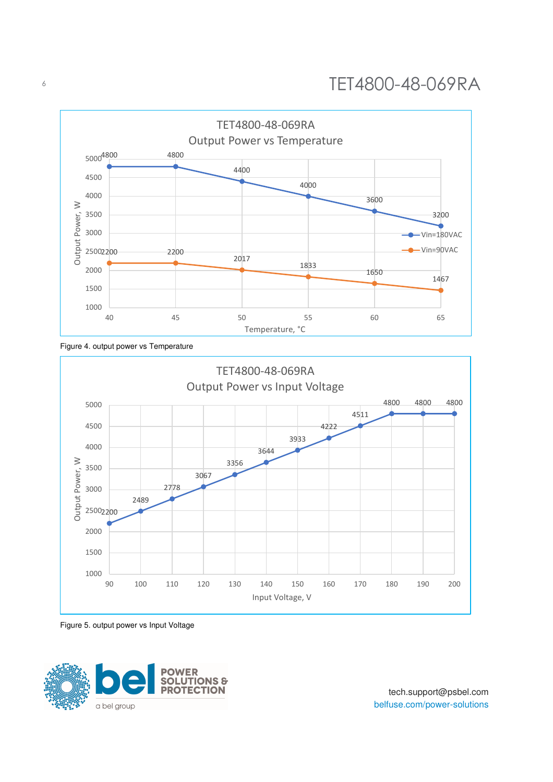

Figure 4. output power vs Temperature



Figure 5. output power vs Input Voltage

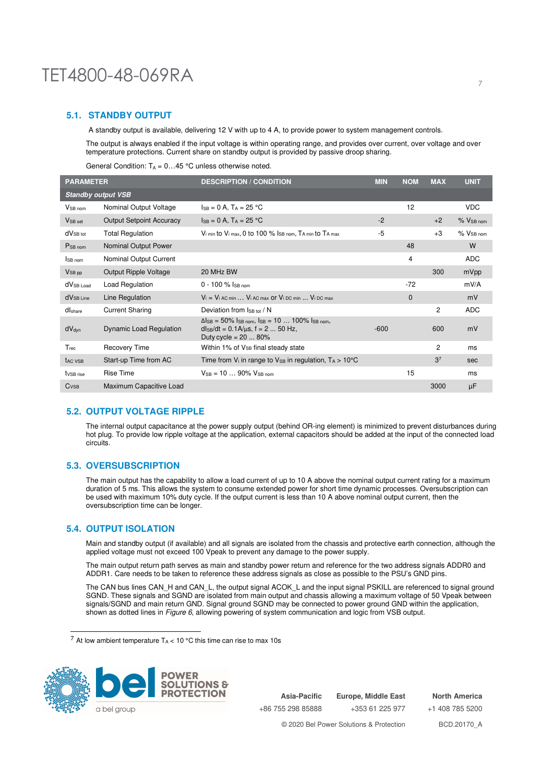## TET4800-48-069RA 72 2022 12:00 12:00 12:00 12:00 12:00 12:00 12:00 12:00 12:00 12:00 12:00 12:00 12:00 12:00 1

### **5.1. STANDBY OUTPUT**

A standby output is available, delivering 12 V with up to 4 A, to provide power to system management controls.

The output is always enabled if the input voltage is within operating range, and provides over current, over voltage and over temperature protections. Current share on standby output is provided by passive droop sharing.

General Condition:  $T_A = 0...45$  °C unless otherwise noted.

| <b>PARAMETER</b>          |                                 | <b>DESCRIPTION / CONDITION</b>                                                                                                 | <b>MIN</b> | <b>NOM</b>   | <b>MAX</b>     | <b>UNIT</b>      |
|---------------------------|---------------------------------|--------------------------------------------------------------------------------------------------------------------------------|------------|--------------|----------------|------------------|
| <b>Standby output VSB</b> |                                 |                                                                                                                                |            |              |                |                  |
| V <sub>SB nom</sub>       | Nominal Output Voltage          | $I_{SB} = 0 A$ , $T_A = 25 °C$                                                                                                 |            | 12           |                | <b>VDC</b>       |
| V <sub>SB</sub> set       | <b>Output Setpoint Accuracy</b> | $I_{SB} = 0 A$ , $T_A = 25 °C$                                                                                                 | $-2$       |              | $+2$           | $%$ $V_{SB}$ nom |
| $dV_{SB\,tot}$            | <b>Total Regulation</b>         | $V_{i,min}$ to $V_{i,max}$ , 0 to 100 % $I_{SB nom}$ , $T_{A,min}$ to $T_{A,max}$                                              | $-5$       |              | $+3$           | $%$ $V_{SB}$ nom |
| P <sub>SB</sub> nom       | Nominal Output Power            |                                                                                                                                |            | 48           |                | W                |
| ISB nom                   | Nominal Output Current          |                                                                                                                                |            | 4            |                | <b>ADC</b>       |
| $V_{SB,pp}$               | Output Ripple Voltage           | 20 MHz BW                                                                                                                      |            |              | 300            | mVpp             |
| dV <sub>SB Load</sub>     | Load Regulation                 | 0 - 100 % ISB nom                                                                                                              |            | $-72$        |                | mV/A             |
| dV <sub>SB Line</sub>     | Line Regulation                 | $V_i = V_i$ AC min $\ldots$ V <sub>i</sub> AC max Or V <sub>i</sub> DC min $\ldots$ V <sub>i</sub> DC max                      |            | $\mathbf{0}$ |                | mV               |
| dlshare                   | <b>Current Sharing</b>          | Deviation from $I_{SB\,tot}$ / N                                                                                               |            |              | 2              | <b>ADC</b>       |
| dV <sub>dyn</sub>         | <b>Dynamic Load Regulation</b>  | $\Delta$ ISB = 50% ISB nom, ISB = 10  100% ISB nom,<br>$d_{\text{SB}}/dt = 0.1A/\mu s$ , f = 2  50 Hz,<br>Duty cycle = $2080%$ | $-600$     |              | 600            | mV               |
| $T_{rec}$                 | Recovery Time                   | Within 1% of V <sub>SB</sub> final steady state                                                                                |            |              | 2              | ms               |
| <b>TAC VSB</b>            | Start-up Time from AC           | Time from $V_i$ in range to $V_{SB}$ in regulation, $T_A > 10^{\circ}C$                                                        |            |              | 3 <sup>7</sup> | sec              |
| tvSB rise                 | <b>Rise Time</b>                | $V_{SB} = 10 \dots 90\%$ V <sub>SB nom</sub>                                                                                   |            | 15           |                | ms               |
| C <sub>VSB</sub>          | Maximum Capacitive Load         |                                                                                                                                |            |              | 3000           | μF               |

### **5.2. OUTPUT VOLTAGE RIPPLE**

The internal output capacitance at the power supply output (behind OR-ing element) is minimized to prevent disturbances during hot plug. To provide low ripple voltage at the application, external capacitors should be added at the input of the connected load circuits.

#### **5.3. OVERSUBSCRIPTION**

The main output has the capability to allow a load current of up to 10 A above the nominal output current rating for a maximum duration of 5 ms. This allows the system to consume extended power for short time dynamic processes. Oversubscription can be used with maximum 10% duty cycle. If the output current is less than 10 A above nominal output current, then the oversubscription time can be longer.

#### **5.4. OUTPUT ISOLATION**

Main and standby output (if available) and all signals are isolated from the chassis and protective earth connection, although the applied voltage must not exceed 100 Vpeak to prevent any damage to the power supply.

The main output return path serves as main and standby power return and reference for the two address signals ADDR0 and ADDR1. Care needs to be taken to reference these address signals as close as possible to the PSU's GND pins.

The CAN bus lines CAN\_H and CAN\_L, the output signal ACOK\_L and the input signal PSKILL are referenced to signal ground SGND. These signals and SGND are isolated from main output and chassis allowing a maximum voltage of 50 Vpeak between signals/SGND and main return GND. Signal ground SGND may be connected to power ground GND within the application, shown as dotted lines in *Figure 6*, allowing powering of system communication and logic from VSB output.

 $7$  At low ambient temperature T<sub>A</sub> < 10 °C this time can rise to max 10s



**Asia-Pacific** +86 755 298 85888 **Europe, Middle East** +353 61 225 977 **North America** +1 408 785 5200 © 2020 Bel Power Solutions & Protection BCD.20170\_A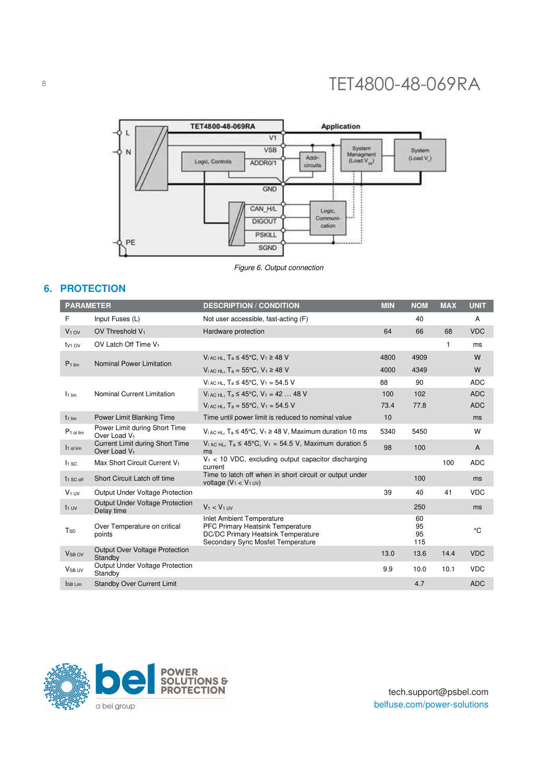

Figure 6. Output connection

## **6. PROTECTION**

| <b>PARAMETER</b>      |                                                             | <b>DESCRIPTION / CONDITION</b>                                                                                                                  | <b>MIN</b> | <b>NOM</b>            | <b>MAX</b> | <b>UNIT</b> |
|-----------------------|-------------------------------------------------------------|-------------------------------------------------------------------------------------------------------------------------------------------------|------------|-----------------------|------------|-------------|
| F                     | Input Fuses (L)                                             | Not user accessible, fast-acting (F)                                                                                                            |            | 40                    |            | A           |
| $V1$ ov               | OV Threshold V <sub>1</sub>                                 | Hardware protection                                                                                                                             | 64         | 66                    | 68         | <b>VDC</b>  |
| $t_{V1}$ ov           | OV Latch Off Time V <sub>1</sub>                            |                                                                                                                                                 |            |                       | 1          | ms          |
| P <sub>1 lim</sub>    | Nominal Power Limitation                                    | $V_{i,AC}$ HL, $T_a \le 45^{\circ}$ C, $V_1 \ge 48$ V                                                                                           | 4800       | 4909                  |            | W           |
|                       |                                                             | $V_{i,AC}$ HL, $T_a = 55^{\circ}$ C, $V_1 \ge 48$ V                                                                                             | 4000       | 4349                  |            | W           |
|                       |                                                             | $V_{i,AC}$ HL, $T_a \leq 45^{\circ}$ C, $V_1 = 54.5$ V                                                                                          | 88         | 90                    |            | <b>ADC</b>  |
| I <sub>1 lim</sub>    | Nominal Current Limitation                                  | $V_{i,AC}$ HL, $T_a \le 45^{\circ}$ C, $V_1 = 4248$ V                                                                                           | 100        | 102                   |            | <b>ADC</b>  |
|                       |                                                             | $V_{i,AC}$ HL, $T_a = 55^{\circ}$ C, $V_1 = 54.5$ V                                                                                             | 73.4       | 77.8                  |            | <b>ADC</b>  |
| $t_{1}$ lim           | Power Limit Blanking Time                                   | Time until power limit is reduced to nominal value                                                                                              | 10         |                       |            | ms          |
| P <sub>1</sub> ol lim | Power Limit during Short Time<br>Over Load V <sub>1</sub>   | $V_{i,ACHL}$ , T <sub>a</sub> $\leq 45^{\circ}$ C, V <sub>1</sub> $\geq 48$ V, Maximum duration 10 ms                                           | 5340       | 5450                  |            | W           |
| 1 <sub>1</sub> ol lim | Current Limit during Short Time<br>Over Load V <sub>1</sub> | $V_i$ AC HL, $T_a \le 45^{\circ}$ C, $V_1 = 54.5$ V, Maximum duration 5<br>ms                                                                   | 98         | 100                   |            | A           |
| $I1$ sc               | Max Short Circuit Current V <sub>1</sub>                    | $V_1$ < 10 VDC, excluding output capacitor discharging<br>current                                                                               |            |                       | 100        | <b>ADC</b>  |
| t <sub>1</sub> SC off | Short Circuit Latch off time                                | Time to latch off when in short circuit or output under<br>voltage $(V_1 < V_1$ uv)                                                             |            | 100                   |            | ms          |
| $V_1$ UV              | Output Under Voltage Protection                             |                                                                                                                                                 | 39         | 40                    | 41         | <b>VDC</b>  |
| $t_1$ UV              | Output Under Voltage Protection<br>Delay time               | $V_1 < V_1$ UV                                                                                                                                  |            | 250                   |            | ms          |
| T <sub>SD</sub>       | Over Temperature on critical<br>points                      | <b>Inlet Ambient Temperature</b><br>PFC Primary Heatsink Temperature<br>DC/DC Primary Heatsink Temperature<br>Secondary Sync Mosfet Temperature |            | 60<br>95<br>95<br>115 |            | °C          |
| V <sub>SB OV</sub>    | <b>Output Over Voltage Protection</b><br>Standby            |                                                                                                                                                 | 13.0       | 13.6                  | 14.4       | <b>VDC</b>  |
| V <sub>SB UV</sub>    | Output Under Voltage Protection<br>Standby                  |                                                                                                                                                 | 9.9        | 10.0                  | 10.1       | <b>VDC</b>  |
| ISB Lim               | <b>Standby Over Current Limit</b>                           |                                                                                                                                                 |            | 4.7                   |            | <b>ADC</b>  |



tech.support@psbel.com belfuse.com/power-solutions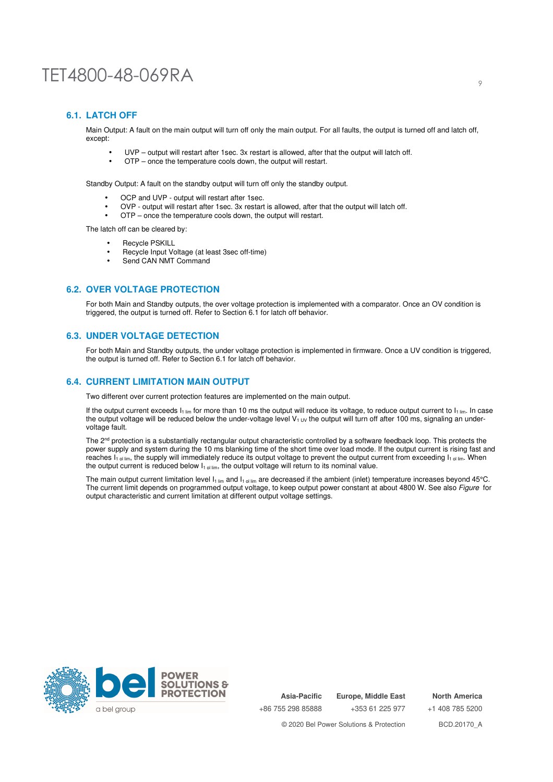### **6.1. LATCH OFF**

Main Output: A fault on the main output will turn off only the main output. For all faults, the output is turned off and latch off, except:

- UVP output will restart after 1sec. 3x restart is allowed, after that the output will latch off.
- OTP once the temperature cools down, the output will restart.

Standby Output: A fault on the standby output will turn off only the standby output.

- OCP and UVP output will restart after 1sec.
- OVP output will restart after 1sec. 3x restart is allowed, after that the output will latch off.
- OTP once the temperature cools down, the output will restart.

The latch off can be cleared by:

- Recycle PSKILL
- Recycle Input Voltage (at least 3sec off-time)
- Send CAN NMT Command

#### **6.2. OVER VOLTAGE PROTECTION**

For both Main and Standby outputs, the over voltage protection is implemented with a comparator. Once an OV condition is triggered, the output is turned off. Refer to Section 6.1 for latch off behavior.

#### **6.3. UNDER VOLTAGE DETECTION**

For both Main and Standby outputs, the under voltage protection is implemented in firmware. Once a UV condition is triggered, the output is turned off. Refer to Section 6.1 for latch off behavior.

### **6.4. CURRENT LIMITATION MAIN OUTPUT**

Two different over current protection features are implemented on the main output.

If the output current exceeds  $I_{1\,lim}$  for more than 10 ms the output will reduce its voltage, to reduce output current to  $I_{1\,lim}$ . In case the output voltage will be reduced below the under-voltage level  $V_{1\,UV}$  the output will turn off after 100 ms, signaling an undervoltage fault.

The 2<sup>nd</sup> protection is a substantially rectangular output characteristic controlled by a software feedback loop. This protects the power supply and system during the 10 ms blanking time of the short time over load mode. If the output current is rising fast and reaches  $I_{1 \text{ o}}$  lim, the supply will immediately reduce its output voltage to prevent the output current from exceeding  $I_{1 \text{ o}}$  lim. When the output current is reduced below  $I_{1 \text{ o}}$  lim, the output voltage will return to its nominal value.

The main output current limitation level  $I_1$ <sub>lim</sub> and  $I_1$ <sub>ol lim</sub> are decreased if the ambient (inlet) temperature increases beyond 45°C. The current limit depends on programmed output voltage, to keep output power constant at about 4800 W. See also Figure for output characteristic and current limitation at different output voltage settings.



**Asia-Pacific** +86 755 298 85888 **Europe, Middle East** +353 61 225 977

+1 408 785 5200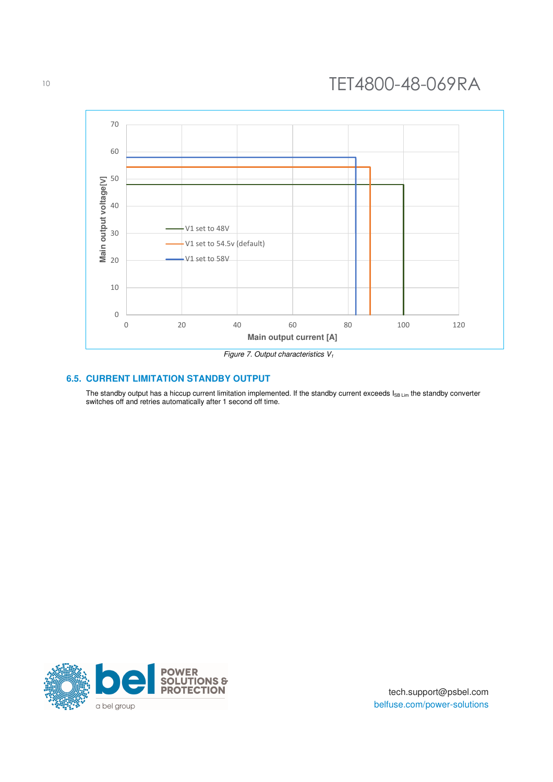

#### **6.5. CURRENT LIMITATION STANDBY OUTPUT**

The standby output has a hiccup current limitation implemented. If the standby current exceeds  $I_{SB\,Lim}$  the standby converter switches off and retries automatically after 1 second off time.

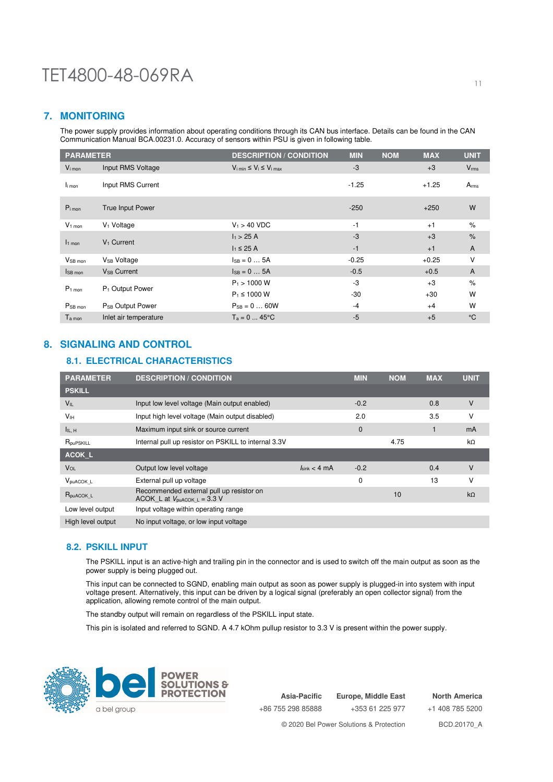## **7. MONITORING**

The power supply provides information about operating conditions through its CAN bus interface. Details can be found in the CAN Communication Manual BCA.00231.0. Accuracy of sensors within PSU is given in following table.

| <b>PARAMETER</b>       |                              | <b>DESCRIPTION / CONDITION</b>                      | <b>MIN</b> | <b>NOM</b> | <b>MAX</b> | <b>UNIT</b>      |
|------------------------|------------------------------|-----------------------------------------------------|------------|------------|------------|------------------|
| $V_{i \text{mon}}$     | Input RMS Voltage            | $V_{i \text{ min}} \leq V_i \leq V_{i \text{ max}}$ | $-3$       |            | $+3$       | $V_{\rm rms}$    |
| li mon                 | Input RMS Current            |                                                     | $-1.25$    |            | $+1.25$    | A <sub>rms</sub> |
| $P_{i \text{mon}}$     | <b>True Input Power</b>      |                                                     | $-250$     |            | $+250$     | W                |
| $V1$ mon               | V <sub>1</sub> Voltage       | $V_1 > 40$ VDC                                      | $-1$       |            | $+1$       | $\frac{9}{6}$    |
| $11$ mon               | $V_1$ Current                | h > 25 A                                            | $-3$       |            | $+3$       | $\%$             |
|                        |                              | $I_1 \leq 25$ A                                     | $-1$       |            | $+1$       | A                |
| V <sub>SB mon</sub>    | V <sub>SB</sub> Voltage      | $IsB = 0  5A$                                       | $-0.25$    |            | $+0.25$    | V                |
| $I_{SB \, \text{mon}}$ | $V_{SB}$ Current             | $I_{SB} = 0  5A$                                    | $-0.5$     |            | $+0.5$     | $\overline{A}$   |
| $P1$ mon               | P <sub>1</sub> Output Power  | $P_1 > 1000 W$                                      | -3         |            | $+3$       | $\%$             |
|                        |                              | $P_1 \le 1000 W$                                    | $-30$      |            | $+30$      | W                |
| P <sub>SB</sub> mon    | P <sub>SB</sub> Output Power | $P_{SB} = 0  60W$                                   | $-4$       |            | $+4$       | W                |
| $T_{a \text{ mon}}$    | Inlet air temperature        | $T_a = 0  45$ °C                                    | $-5$       |            | $+5$       | $\rm ^{\circ}C$  |

## **8. SIGNALING AND CONTROL**

## **8.1. ELECTRICAL CHARACTERISTICS**

| <b>PARAMETER</b>              | <b>DESCRIPTION / CONDITION</b>                                                              |                                  | <b>MIN</b> | <b>NOM</b> | <b>MAX</b> | <b>UNIT</b> |
|-------------------------------|---------------------------------------------------------------------------------------------|----------------------------------|------------|------------|------------|-------------|
| <b>PSKILL</b>                 |                                                                                             |                                  |            |            |            |             |
| $V_{IL}$                      | Input low level voltage (Main output enabled)                                               |                                  | $-0.2$     |            | 0.8        | ٧           |
| V <sub>IH</sub>               | Input high level voltage (Main output disabled)                                             |                                  | 2.0        |            | 3.5        | ν           |
| IL, H                         | Maximum input sink or source current                                                        |                                  | 0          |            |            | mA          |
| R <sub>pu</sub> pskill        | Internal pull up resistor on PSKILL to internal 3.3V                                        |                                  |            | 4.75       |            | kΩ          |
| <b>ACOK L</b>                 |                                                                                             |                                  |            |            |            |             |
| VOL                           | Output low level voltage                                                                    | $l_{\text{sink}} < 4 \text{ mA}$ | $-0.2$     |            | 0.4        | V           |
| $V_{\text{puACOK}\_\text{L}}$ | External pull up voltage                                                                    |                                  | 0          |            | 13         | ν           |
| $R_{\text{puACOK}\_\text{L}}$ | Recommended external pull up resistor on<br>ACOK L at $V_{\text{puACOK L}} = 3.3 \text{ V}$ |                                  |            | 10         |            | $k\Omega$   |
| Low level output              | Input voltage within operating range                                                        |                                  |            |            |            |             |
| High level output             | No input voltage, or low input voltage                                                      |                                  |            |            |            |             |

### **8.2. PSKILL INPUT**

The PSKILL input is an active-high and trailing pin in the connector and is used to switch off the main output as soon as the power supply is being plugged out.

This input can be connected to SGND, enabling main output as soon as power supply is plugged-in into system with input voltage present. Alternatively, this input can be driven by a logical signal (preferably an open collector signal) from the application, allowing remote control of the main output.

The standby output will remain on regardless of the PSKILL input state.

This pin is isolated and referred to SGND. A 4.7 kOhm pullup resistor to 3.3 V is present within the power supply.



**Asia-Pacific** +86 755 298 85888 **Europe, Middle East** +353 61 225 977 **North America** +1 408 785 5200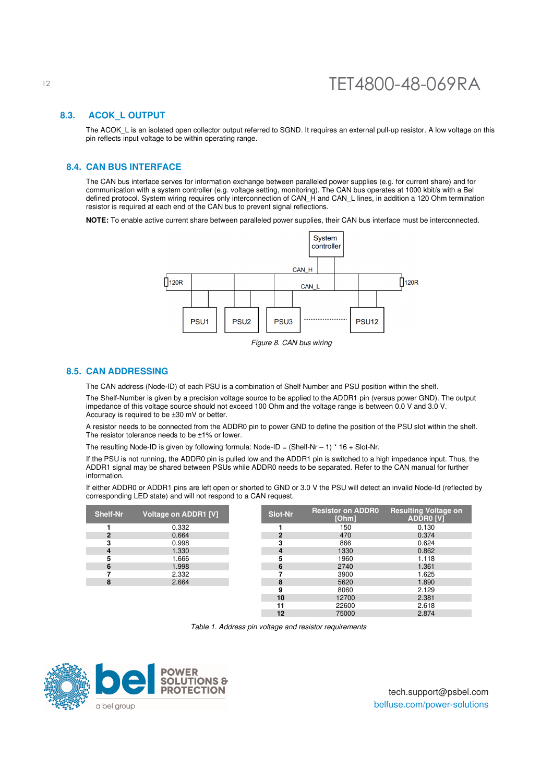#### **8.3. ACOK\_L OUTPUT**

The ACOK L is an isolated open collector output referred to SGND. It requires an external pull-up resistor. A low voltage on this pin reflects input voltage to be within operating range.

### **8.4. CAN BUS INTERFACE**

The CAN bus interface serves for information exchange between paralleled power supplies (e.g. for current share) and for communication with a system controller (e.g. voltage setting, monitoring). The CAN bus operates at 1000 kbit/s with a Bel defined protocol. System wiring requires only interconnection of CAN\_H and CAN\_L lines, in addition a 120 Ohm termination resistor is required at each end of the CAN bus to prevent signal reflections.

**NOTE:** To enable active current share between paralleled power supplies, their CAN bus interface must be interconnected.



Figure 8. CAN bus wiring

#### **8.5. CAN ADDRESSING**

The CAN address (Node-ID) of each PSU is a combination of Shelf Number and PSU position within the shelf.

The Shelf-Number is given by a precision voltage source to be applied to the ADDR1 pin (versus power GND). The output impedance of this voltage source should not exceed 100 Ohm and the voltage range is between 0.0 V and 3.0 V. Accuracy is required to be ±30 mV or better.

A resistor needs to be connected from the ADDR0 pin to power GND to define the position of the PSU slot within the shelf. The resistor tolerance needs to be ±1% or lower.

The resulting Node-ID is given by following formula: Node-ID = (Shelf-Nr - 1) \* 16 + Slot-Nr.

If the PSU is not running, the ADDR0 pin is pulled low and the ADDR1 pin is switched to a high impedance input. Thus, the ADDR1 signal may be shared between PSUs while ADDR0 needs to be separated. Refer to the CAN manual for further information.

If either ADDR0 or ADDR1 pins are left open or shorted to GND or 3.0 V the PSU will detect an invalid Node-Id (reflected by corresponding LED state) and will not respond to a CAN request.

| <b>Shelf-Nr</b> | Voltage on ADDR1 [V] | Slot-Nr | <b>Resistor on ADDR0</b><br>[Ohm] |
|-----------------|----------------------|---------|-----------------------------------|
|                 | 0.332                |         | 150                               |
| 2               | 0.664                |         | 470                               |
|                 | 0.998                |         | 866                               |
|                 | 1.330                |         | 1330                              |
| 5               | 1.666                | 5       | 1960                              |
| 6               | 1.998                |         | 2740                              |
|                 | 2.332                |         | 3900                              |
| 8               | 2.664                |         | 5620                              |
|                 |                      |         | 8060                              |

| If-Nr          | <b>Voltage on ADDR1 [V]</b> | <b>Slot-Nr</b> | <b>Resistor on ADDR0</b><br>[Ohm] | <b>Resulting Voltage on</b><br><b>ADDR0 [V]</b> |
|----------------|-----------------------------|----------------|-----------------------------------|-------------------------------------------------|
|                | 0.332                       |                | 150                               | 0.130                                           |
| $\overline{2}$ | 0.664                       | 2              | 470                               | 0.374                                           |
| 3              | 0.998                       | 3              | 866                               | 0.624                                           |
| 4              | 1.330                       | 4              | 1330                              | 0.862                                           |
| 5              | 1.666                       | 5              | 1960                              | 1.118                                           |
| 6              | 1.998                       | 6              | 2740                              | 1.361                                           |
|                | 2.332                       |                | 3900                              | 1.625                                           |
| 8              | 2.664                       | 8              | 5620                              | 1.890                                           |
|                |                             | 9              | 8060                              | 2.129                                           |
|                |                             | 10             | 12700                             | 2.381                                           |
|                |                             | 11             | 22600                             | 2.618                                           |
|                |                             | 12             | 75000                             | 2.874                                           |

Table 1. Address pin voltage and resistor requirements

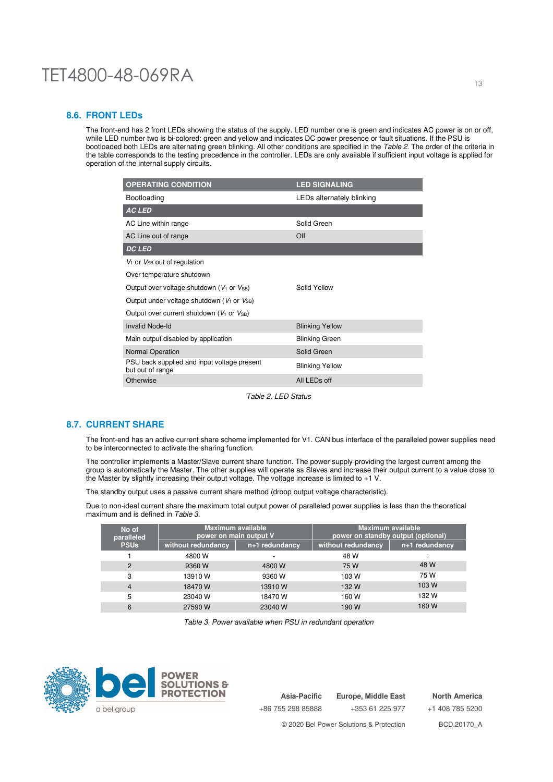#### **8.6. FRONT LEDs**

The front-end has 2 front LEDs showing the status of the supply. LED number one is green and indicates AC power is on or off, while LED number two is bi-colored: green and yellow and indicates DC power presence or fault situations. If the PSU is bootloaded both LEDs are alternating green blinking. All other conditions are specified in the Table 2. The order of the criteria in the table corresponds to the testing precedence in the controller. LEDs are only available if sufficient input voltage is applied for operation of the internal supply circuits.

| <b>OPERATING CONDITION</b>                                      | <b>LED SIGNALING</b>      |
|-----------------------------------------------------------------|---------------------------|
| Bootloading                                                     | LEDs alternately blinking |
| <b>AC LED</b>                                                   |                           |
| AC Line within range                                            | Solid Green               |
| AC Line out of range                                            | Off                       |
| <b>DC LED</b>                                                   |                           |
| $V_1$ or $V_{SB}$ out of regulation                             |                           |
| Over temperature shutdown                                       |                           |
| Output over voltage shutdown ( $V_1$ or $V_{SB}$ )              | Solid Yellow              |
| Output under voltage shutdown ( $V_1$ or $V_{SB}$ )             |                           |
| Output over current shutdown ( $V_1$ or $V_{SB}$ )              |                           |
| <b>Invalid Node-Id</b>                                          | <b>Blinking Yellow</b>    |
| Main output disabled by application                             | <b>Blinking Green</b>     |
| Normal Operation                                                | Solid Green               |
| PSU back supplied and input voltage present<br>but out of range | <b>Blinking Yellow</b>    |
| Otherwise                                                       | All LEDs off              |

Table 2. LED Status

#### **8.7. CURRENT SHARE**

The front-end has an active current share scheme implemented for V1. CAN bus interface of the paralleled power supplies need to be interconnected to activate the sharing function.

The controller implements a Master/Slave current share function. The power supply providing the largest current among the group is automatically the Master. The other supplies will operate as Slaves and increase their output current to a value close to the Master by slightly increasing their output voltage. The voltage increase is limited to +1 V.

The standby output uses a passive current share method (droop output voltage characteristic).

Due to non-ideal current share the maximum total output power of paralleled power supplies is less than the theoretical maximum and is defined in Table 3.

| No of<br>paralleled | Maximum available<br>power on main output V |                | <b>Maximum available</b><br>power on standby output (optional) |                |  |
|---------------------|---------------------------------------------|----------------|----------------------------------------------------------------|----------------|--|
| <b>PSUs</b>         | without redundancy                          | n+1 redundancy | without redundancy                                             | n+1 redundancy |  |
|                     | 4800 W                                      |                | 48 W                                                           |                |  |
| 2                   | 9360 W                                      | 4800 W         | 75 W                                                           | 48 W           |  |
| 3                   | 13910W                                      | 9360 W         | 103 W                                                          | 75 W           |  |
| 4                   | 18470W                                      | 13910W         | 132 W                                                          | 103 W          |  |
| 5                   | 23040 W                                     | 18470 W        | 160 W                                                          | 132 W          |  |
| 6                   | 27590 W                                     | 23040 W        | 190 W                                                          | 160 W          |  |

Table 3. Power available when PSU in redundant operation



**Asia-Pacific** +86 755 298 85888 **Europe, Middle East** +353 61 225 977 **North America** +1 408 785 5200 © 2020 Bel Power Solutions & Protection BCD.20170\_A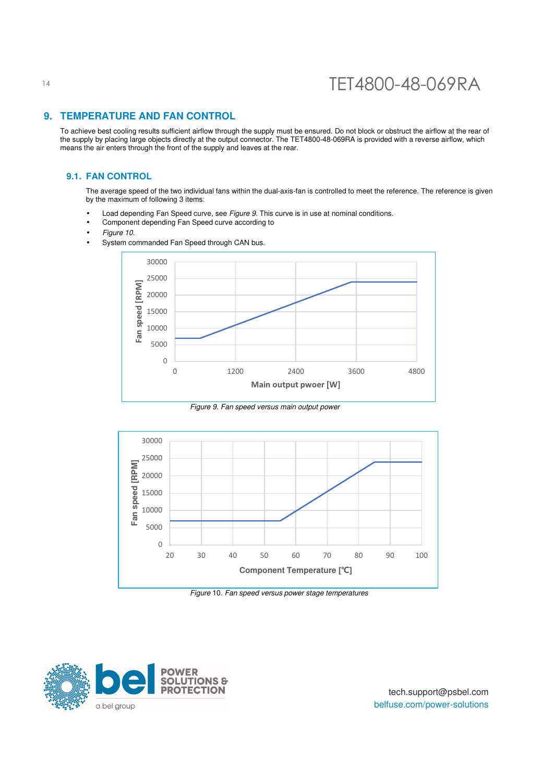## **9. TEMPERATURE AND FAN CONTROL**

To achieve best cooling results sufficient airflow through the supply must be ensured. Do not block or obstruct the airflow at the rear of the supply by placing large objects directly at the output connector. The TET4800-48-069RA is provided with a reverse airflow, which means the air enters through the front of the supply and leaves at the rear.

#### **9.1. FAN CONTROL**

The average speed of the two individual fans within the dual-axis-fan is controlled to meet the reference. The reference is given by the maximum of following 3 items:

- Load depending Fan Speed curve, see Figure 9. This curve is in use at nominal conditions.
- Component depending Fan Speed curve according to
- Figure 10.
- System commanded Fan Speed through CAN bus.



Figure 9. Fan speed versus main output power



Figure 10. Fan speed versus power stage temperatures

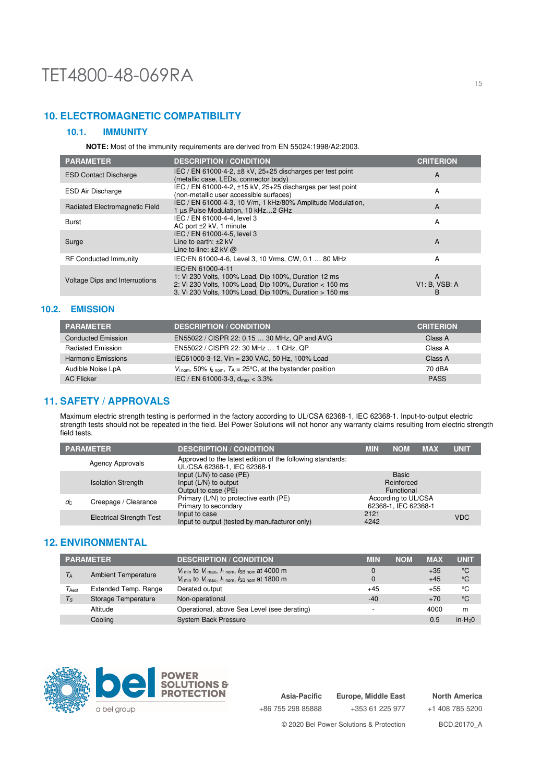## **10. ELECTROMAGNETIC COMPATIBILITY**

### **10.1. IMMUNITY**

**NOTE:** Most of the immunity requirements are derived from EN 55024:1998/A2:2003.

| <b>PARAMETER</b>               | <b>DESCRIPTION / CONDITION</b>                                                                                                                                                                  | <b>CRITERION</b>        |
|--------------------------------|-------------------------------------------------------------------------------------------------------------------------------------------------------------------------------------------------|-------------------------|
| <b>ESD Contact Discharge</b>   | IEC / EN 61000-4-2, $\pm$ 8 kV, 25+25 discharges per test point<br>(metallic case, LEDs, connector body)                                                                                        | A                       |
| <b>ESD Air Discharge</b>       | IEC / EN 61000-4-2, ±15 kV, 25+25 discharges per test point<br>(non-metallic user accessible surfaces)                                                                                          | A                       |
| Radiated Electromagnetic Field | IEC / EN 61000-4-3, 10 V/m, 1 kHz/80% Amplitude Modulation,<br>1 us Pulse Modulation, 10 kHz2 GHz                                                                                               | A                       |
| <b>Burst</b>                   | IEC / EN 61000-4-4, level 3<br>AC port ±2 kV, 1 minute                                                                                                                                          | A                       |
| Surge                          | IEC / EN 61000-4-5, level 3<br>Line to earth: $±2$ kV<br>Line to line: $\pm 2$ kV $\omega$                                                                                                      | A                       |
| <b>RF Conducted Immunity</b>   | IEC/EN 61000-4-6, Level 3, 10 Vrms, CW, 0.1  80 MHz                                                                                                                                             | A                       |
| Voltage Dips and Interruptions | IEC/EN 61000-4-11<br>1: Vi 230 Volts, 100% Load, Dip 100%, Duration 12 ms<br>2: Vi 230 Volts, 100% Load, Dip 100%, Duration < 150 ms<br>3. Vi 230 Volts, 100% Load, Dip 100%, Duration > 150 ms | A<br>V1: B. VSB: A<br>B |

### **10.2. EMISSION**

| <b>PARAMETER</b>          | <b>DESCRIPTION / CONDITION</b>                                                                       | <b>CRITERION</b> |
|---------------------------|------------------------------------------------------------------------------------------------------|------------------|
| <b>Conducted Emission</b> | EN55022 / CISPR 22: 0.15  30 MHz, QP and AVG                                                         | Class A          |
| <b>Radiated Emission</b>  | EN55022 / CISPR 22: 30 MHz  1 GHz, QP                                                                | Class A          |
| <b>Harmonic Emissions</b> | IEC61000-3-12, Vin = 230 VAC, 50 Hz, 100% Load                                                       | Class A          |
| Audible Noise LpA         | $V_{\text{i nom}}$ , 50% $I_{\text{o nom}}$ , $T_A = 25^{\circ}\text{C}$ , at the bystander position | 70 dBA           |
| <b>AC Flicker</b>         | IEC / EN 61000-3-3, $d_{max}$ < 3.3%                                                                 | <b>PASS</b>      |

## **11. SAFETY / APPROVALS**

Maximum electric strength testing is performed in the factory according to UL/CSA 62368-1, IEC 62368-1. Input-to-output electric strength tests should not be repeated in the field. Bel Power Solutions will not honor any warranty claims resulting from electric strength field tests.

|                | <b>PARAMETER</b>                | <b>DESCRIPTION / CONDITION</b>                                                            | <b>MIN</b>   | <b>NOM</b>                                  | <b>MAX</b> | <b>UNIT</b> |
|----------------|---------------------------------|-------------------------------------------------------------------------------------------|--------------|---------------------------------------------|------------|-------------|
|                | Agency Approvals                | Approved to the latest edition of the following standards:<br>UL/CSA 62368-1, IEC 62368-1 |              |                                             |            |             |
|                | <b>Isolation Strength</b>       | Input $(L/N)$ to case $(PE)$<br>Input $(L/N)$ to output<br>Output to case (PE)            |              | <b>Basic</b><br>Reinforced<br>Functional    |            |             |
| d <sub>C</sub> | Creepage / Clearance            | Primary (L/N) to protective earth (PE)<br>Primary to secondary                            |              | According to UL/CSA<br>62368-1, IEC 62368-1 |            |             |
|                | <b>Electrical Strength Test</b> | Input to case<br>Input to output (tested by manufacturer only)                            | 2121<br>4242 |                                             |            | <b>VDC</b>  |

## **12. ENVIRONMENTAL**

|                                     | <b>PARAMETER</b>                                                                              | <b>DESCRIPTION / CONDITION</b>                                                                | MIN<br><b>NOM</b> | <b>MAX</b> | <b>UNIT</b> |
|-------------------------------------|-----------------------------------------------------------------------------------------------|-----------------------------------------------------------------------------------------------|-------------------|------------|-------------|
| <b>Ambient Temperature</b><br>$T_A$ |                                                                                               | $V_{\text{i min}}$ to $V_{\text{i max}}$ , $I_{\text{1 nom}}$ , $I_{\text{SB nom}}$ at 4000 m |                   | $+35$      | °C          |
|                                     | $V_{\text{i min}}$ to $V_{\text{i max}}$ , $I_{\text{1 nom}}$ , $I_{\text{SB nom}}$ at 1800 m |                                                                                               | $+45$             | °C         |             |
| $\tau_{\textsf{Aext}}$              | Extended Temp. Range                                                                          | Derated output                                                                                | $+45$             | $+55$      | °C          |
| $T_{\rm S}$                         | Storage Temperature                                                                           | Non-operational                                                                               | $-40$             | $+70$      | °C          |
|                                     | Altitude                                                                                      | Operational, above Sea Level (see derating)                                                   | <b>100</b>        | 4000       | m           |
|                                     | Cooling                                                                                       | <b>System Back Pressure</b>                                                                   |                   | 0.5        | $in-H20$    |



**Asia-Pacific** +86 755 298 85888 **Europe, Middle East**

+353 61 225 977

**North America** +1 408 785 5200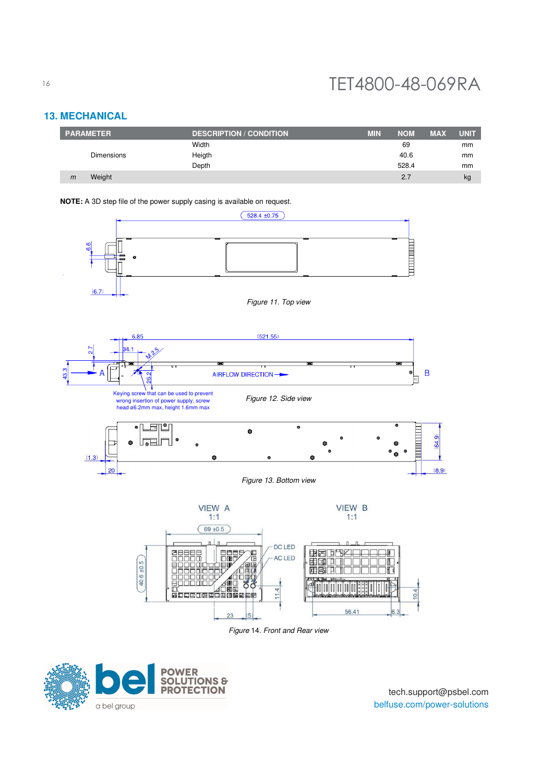## **13. MECHANICAL**

| <b>PARAMETER</b>       | <b>DESCRIPTION / CONDITION</b> | <b>MIN</b> | <b>NOM</b> | <b>MAX</b> | <b>UNIT</b> |
|------------------------|--------------------------------|------------|------------|------------|-------------|
|                        | Width                          |            | 69         |            | mm          |
| <b>Dimensions</b>      | Heigth                         |            | 40.6       |            | mm          |
|                        | Depth                          |            | 528.4      |            | mm          |
| Weight<br>$\mathsf{m}$ |                                |            | 2.7        |            | kg          |

#### **NOTE:** A 3D step file of the power supply casing is available on request.



Figure 14. Front and Rear view

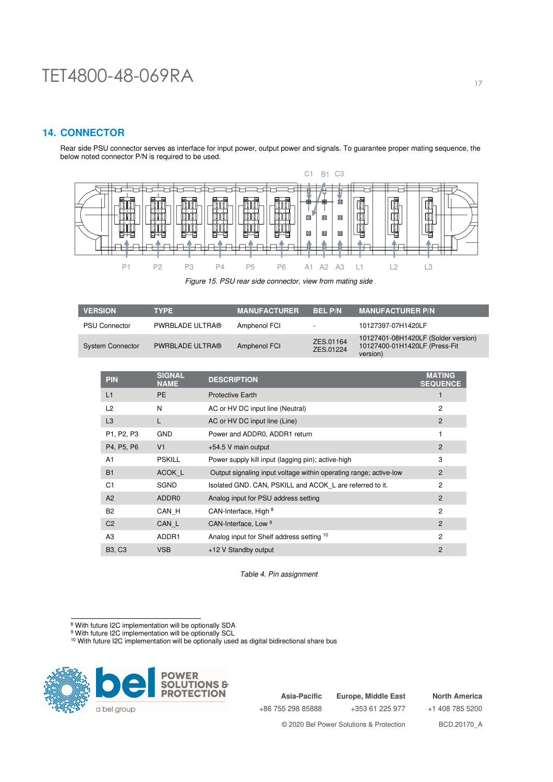## **14. CONNECTOR**

Rear side PSU connector serves as interface for input power, output power and signals. To guarantee proper mating sequence, the below noted connector P/N is required to be used.



Figure 15. PSU rear side connector, view from mating side

| <b>VERSION</b>          | <b>TYPE</b>            | <b>MANUFACTURER</b> | <b>BELP/N</b>            | <b>MANUFACTURER P/N</b>                                                          |
|-------------------------|------------------------|---------------------|--------------------------|----------------------------------------------------------------------------------|
| <b>PSU Connector</b>    | PWRBLADE ULTRA®        | Amphenol FCI        | $\overline{\phantom{0}}$ | 10127397-07H1420LF                                                               |
| <b>System Connector</b> | <b>PWRBLADE ULTRA®</b> | Amphenol FCI        | ZES.01164<br>ZES.01224   | 10127401-08H1420LF (Solder version)<br>10127400-01H1420LF (Press-Fit<br>version) |

| <b>PIN</b>     | <b>SIGNAL</b><br><b>NAME</b> | <b>DESCRIPTION</b>                                                | <b>MATING</b><br><b>SEQUENCE</b> |
|----------------|------------------------------|-------------------------------------------------------------------|----------------------------------|
| L1             | <b>PE</b>                    | <b>Protective Earth</b>                                           |                                  |
| L <sub>2</sub> | N                            | AC or HV DC input line (Neutral)                                  | 2                                |
| L <sub>3</sub> | L                            | AC or HV DC input line (Line)                                     | $\overline{2}$                   |
| P1, P2, P3     | <b>GND</b>                   | Power and ADDR0, ADDR1 return                                     |                                  |
| P4, P5, P6     | V <sub>1</sub>               | +54.5 V main output                                               | 2                                |
| A <sub>1</sub> | <b>PSKILL</b>                | Power supply kill input (lagging pin); active-high                | 3                                |
| <b>B1</b>      | ACOK L                       | Output signaling input voltage within operating range; active-low | 2                                |
| C <sub>1</sub> | <b>SGND</b>                  | Isolated GND. CAN, PSKILL and ACOK L are referred to it.          | 2                                |
| A2             | ADDR <sub>0</sub>            | Analog input for PSU address setting                              | 2                                |
| <b>B2</b>      | CAN H                        | CAN-Interface, High 8                                             | $\overline{2}$                   |
| C <sub>2</sub> | CAN L                        | CAN-Interface, Low 9                                              | 2                                |
| A <sub>3</sub> | ADDR1                        | Analog input for Shelf address setting 10                         | $\overline{2}$                   |
| <b>B3, C3</b>  | <b>VSB</b>                   | +12 V Standby output                                              | $\overline{2}$                   |

Table 4. Pin assignment

<sup>9</sup> With future I2C implementation will be optionally SCL<br><sup>10</sup> With future I2C implementation will be optionally used as digital bidirectional share bus



**Asia-Pacific** +86 755 298 85888

**Europe, Middle East** +353 61 225 977

**North America** +1 408 785 5200

<sup>&</sup>lt;sup>8</sup> With future I2C implementation will be optionally SDA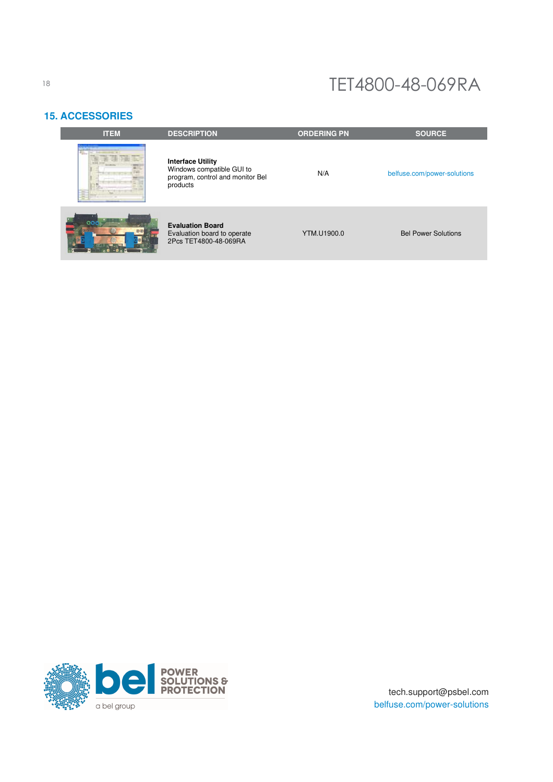## **15. ACCESSORIES**

| <b>ITEM</b> | <b>DESCRIPTION</b>                                                                                    | <b>ORDERING PN</b> | <b>SOURCE</b>               |
|-------------|-------------------------------------------------------------------------------------------------------|--------------------|-----------------------------|
|             | <b>Interface Utility</b><br>Windows compatible GUI to<br>program, control and monitor Bel<br>products | N/A                | belfuse.com/power-solutions |
|             | <b>Evaluation Board</b><br>Evaluation board to operate<br>2Pcs TET4800-48-069RA                       | YTM.U1900.0        | <b>Bel Power Solutions</b>  |



tech.support@psbel.com belfuse.com/power-solutions